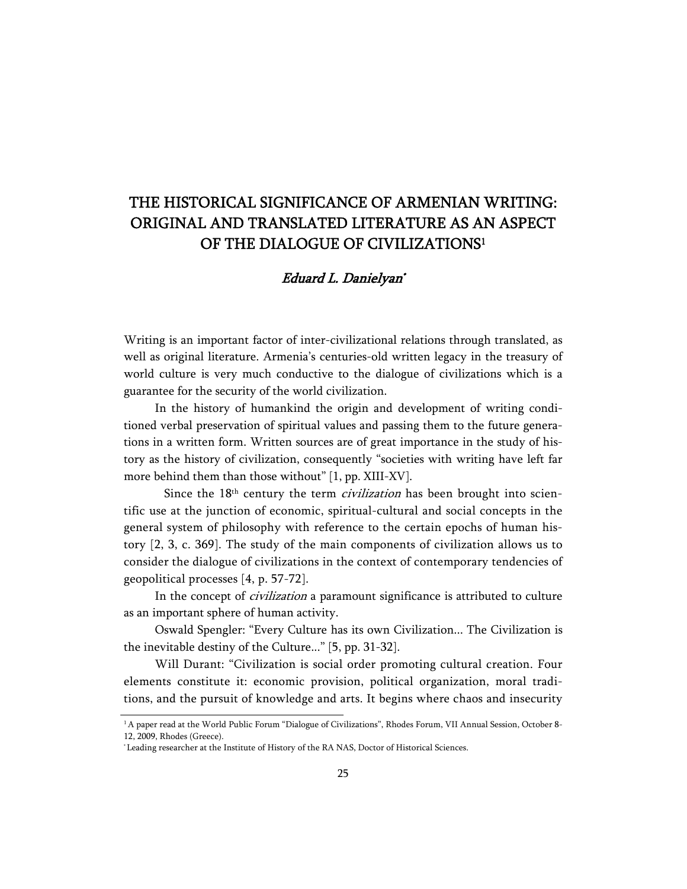# THE HISTORICAL SIGNIFICANCE OF ARMENIAN WRITING: ORIGINAL AND TRANSLATED LITERATURE AS AN ASPECT OF THE DIALOGUE OF CIVILIZATIONS1

# Eduard L. Danielyan\*

Writing is an important factor of inter-civilizational relations through translated, as well as original literature. Armenia's centuries-old written legacy in the treasury of world culture is very much conductive to the dialogue of civilizations which is a guarantee for the security of the world civilization.

In the history of humankind the origin and development of writing conditioned verbal preservation of spiritual values and passing them to the future generations in a written form. Written sources are of great importance in the study of history as the history of civilization, consequently "societies with writing have left far more behind them than those without" [1, pp. XIII-XV].

Since the 18<sup>th</sup> century the term *civilization* has been brought into scientific use at the junction of economic, spiritual-cultural and social concepts in the general system of philosophy with reference to the certain epochs of human history [2, 3, с. 369]. The study of the main components of civilization allows us to consider the dialogue of civilizations in the context of contemporary tendencies of geopolitical processes [4, p. 57-72].

In the concept of *civilization* a paramount significance is attributed to culture as an important sphere of human activity.

Oswald Spengler: "Every Culture has its own Civilization... The Civilization is the inevitable destiny of the Culture..." [5, рp. 31-32].

Will Durant: "Civilization is social order promoting cultural creation. Four elements constitute it: economic provision, political organization, moral traditions, and the pursuit of knowledge and arts. It begins where chaos and insecurity

<sup>&</sup>lt;sup>1</sup> A paper read at the World Public Forum "Dialogue of Civilizations", Rhodes Forum, VII Annual Session, October 8-12, 2009, Rhodes (Greece).

<sup>\*</sup> Leading researcher at the Institute of History of the RA NAS, Doctor of Historical Sciences.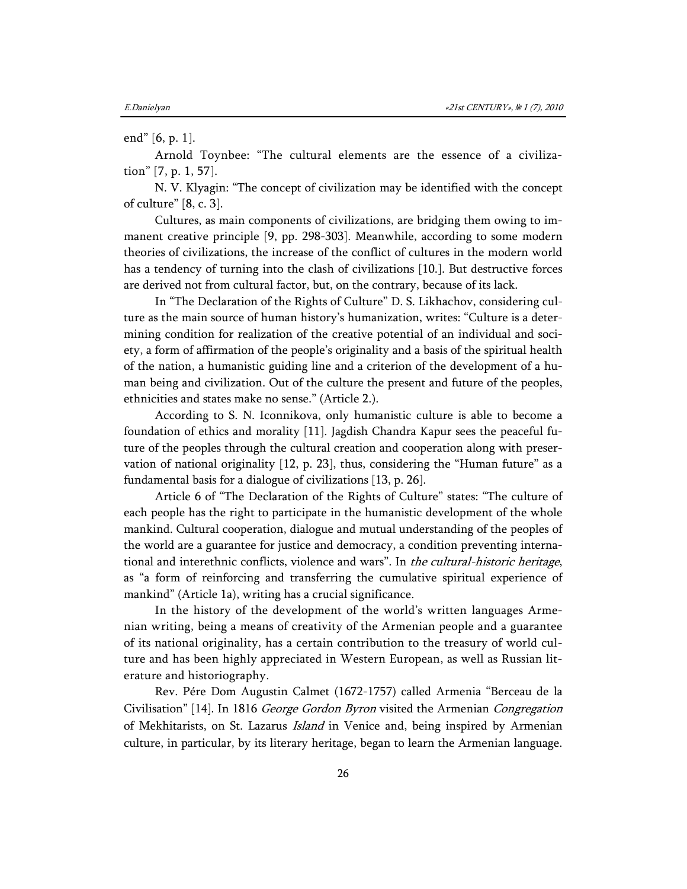end" [6, p. 1].

Arnold Toynbee: "The cultural elements are the essence of a civilization" [7, p. 1, 57].

N. V. Klyagin: "The concept of civilization may be identified with the concept of culture" [8, с. 3].

Cultures, as main components of civilizations, are bridging them owing to immanent creative principle [9, рp. 298-303]. Meanwhile, according to some modern theories of civilizations, the increase of the conflict of cultures in the modern world has a tendency of turning into the clash of civilizations [10.]. But destructive forces are derived not from cultural factor, but, on the contrary, because of its lack.

In "The Declaration of the Rights of Culture" D. S. Likhachov, considering culture as the main source of human history's humanization, writes: "Culture is a determining condition for realization of the creative potential of an individual and society, a form of affirmation of the people's originality and a basis of the spiritual health of the nation, a humanistic guiding line and a criterion of the development of a human being and civilization. Out of the culture the present and future of the peoples, ethnicities and states make no sense." (Article 2.).

According to S. N. Iconnikova, only humanistic culture is able to become a foundation of ethics and morality [11]. Jagdish Chandra Kapur sees the peaceful future of the peoples through the cultural creation and cooperation along with preservation of national originality  $[12, p. 23]$ , thus, considering the "Human future" as a fundamental basis for a dialogue of civilizations [13, p. 26].

Article 6 of "The Declaration of the Rights of Culture" states: "The culture of each people has the right to participate in the humanistic development of the whole mankind. Cultural cooperation, dialogue and mutual understanding of the peoples of the world are a guarantee for justice and democracy, a condition preventing international and interethnic conflicts, violence and wars". In the cultural-historic heritage, as "a form of reinforcing and transferring the cumulative spiritual experience of mankind" (Article 1a), writing has a crucial significance.

In the history of the development of the world's written languages Armenian writing, being a means of creativity of the Armenian people and a guarantee of its national originality, has a certain contribution to the treasury of world culture and has been highly appreciated in Western European, as well as Russian literature and historiography.

Rev. Pére Dom Augustin Calmet (1672-1757) called Armenia "Berceau de la Civilisation" [14]. In 1816 George Gordon Byron visited the Armenian Congregation of Mekhitarists, on St. Lazarus *Island* in Venice and, being inspired by Armenian culture, in particular, by its literary heritage, began to learn the Armenian language.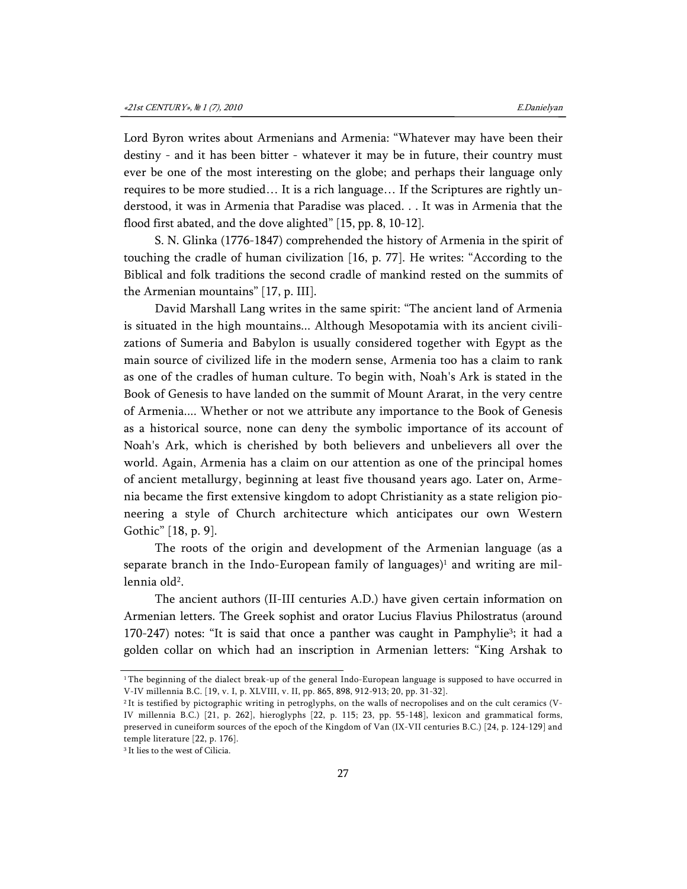Lord Byron writes about Armenians and Armenia: "Whatever may have been their destiny - and it has been bitter - whatever it may be in future, their country must ever be one of the most interesting on the globe; and perhaps their language only requires to be more studied… It is a rich language… If the Scriptures are rightly understood, it was in Armenia that Paradise was placed. . . It was in Armenia that the flood first abated, and the dove alighted" [15, pp. 8, 10-12].

S. N. Glinka (1776-1847) comprehended the history of Armenia in the spirit of touching the cradle of human civilization [16, p. 77]. He writes: "According to the Biblical and folk traditions the second cradle of mankind rested on the summits of the Armenian mountains" [17, p. III].

David Marshall Lang writes in the same spirit: "The ancient land of Armenia is situated in the high mountains... Although Mesopotamia with its ancient civilizations of Sumeria and Babylon is usually considered together with Egypt as the main source of civilized life in the modern sense, Armenia too has a claim to rank as one of the cradles of human culture. To begin with, Noah's Ark is stated in the Book of Genesis to have landed on the summit of Mount Ararat, in the very centre of Armenia.... Whether or not we attribute any importance to the Book of Genesis as a historical source, none can deny the symbolic importance of its account of Noah's Ark, which is cherished by both believers and unbelievers all over the world. Again, Armenia has a claim on our attention as one of the principal homes of ancient metallurgy, beginning at least five thousand years ago. Later on, Armenia became the first extensive kingdom to adopt Christianity as a state religion pioneering a style of Church architecture which anticipates our own Western Gothic" [18, p. 9].

The roots of the origin and development of the Armenian language (as a separate branch in the Indo-European family of languages)<sup>1</sup> and writing are millennia old<sup>2</sup>.

The ancient authors (II-III centuries A.D.) have given certain information on Armenian letters. The Greek sophist and orator Lucius Flavius Philostratus (around 170-247) notes: "It is said that once a panther was caught in Pamphylie<sup>3</sup>; it had a golden collar on which had an inscription in Armenian letters: "King Arshak to

<sup>1</sup> The beginning of the dialect break-up of the general Indo-European language is supposed to have occurred in V-IV millennia B.C. [19, v. I, p. XLVIII, v. II, pp. 865, 898, 912-913; 20, pp. 31-32].

<sup>&</sup>lt;sup>2</sup> It is testified by pictographic writing in petroglyphs, on the walls of necropolises and on the cult ceramics (V-IV millennia B.C.) [21, p. 262], hieroglyphs [22, p. 115; 23, рp. 55-148], lexicon and grammatical forms, preserved in cuneiform sources of the epoch of the Kingdom of Van (IX-VII centuries B.C.) [24, p. 124-129] and temple literature [22, p. 176].

<sup>3</sup> It lies to the west of Cilicia.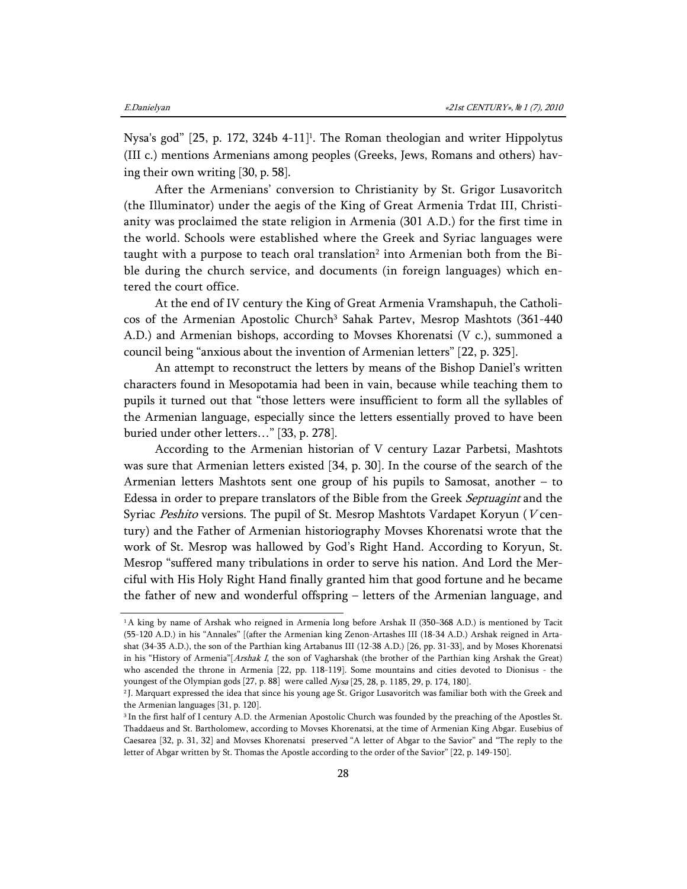Nysa's god"  $[25, p. 172, 324b 4-11]$ <sup>1</sup>. The Roman theologian and writer Hippolytus (III c.) mentions Armenians among peoples (Greeks, Jews, Romans and others) having their own writing [30, p. 58].

After the Armenians' conversion to Christianity by St. Grigor Lusavoritch (the Illuminator) under the aegis of the King of Great Armenia Trdat III, Christianity was proclaimed the state religion in Armenia (301 A.D.) for the first time in the world. Schools were established where the Greek and Syriac languages were taught with a purpose to teach oral translation<sup>2</sup> into Armenian both from the Bible during the church service, and documents (in foreign languages) which entered the court office.

At the end of IV century the King of Great Armenia Vramshapuh, the Catholicos of the Armenian Apostolic Church<sup>3</sup> Sahak Partev, Mesrop Mashtots (361-440) A.D.) and Armenian bishops, according to Movses Khorenatsi (V c.), summoned a council being "anxious about the invention of Armenian letters" [22, p. 325].

An attempt to reconstruct the letters by means of the Bishop Daniel's written characters found in Mesopotamia had been in vain, because while teaching them to pupils it turned out that "those letters were insufficient to form all the syllables of the Armenian language, especially since the letters essentially proved to have been buried under other letters…" [33, p. 278].

According to the Armenian historian of V century Lazar Parbetsi, Mashtots was sure that Armenian letters existed [34, p. 30]. In the course of the search of the Armenian letters Mashtots sent one group of his pupils to Samosat, another – to Edessa in order to prepare translators of the Bible from the Greek Septuagint and the Syriac Peshito versions. The pupil of St. Mesrop Mashtots Vardapet Koryun (V century) and the Father of Armenian historiography Movses Khorenatsi wrote that the work of St. Mesrop was hallowed by God's Right Hand. According to Koryun, St. Mesrop "suffered many tribulations in order to serve his nation. And Lord the Merciful with His Holy Right Hand finally granted him that good fortune and he became the father of new and wonderful offspring – letters of the Armenian language, and

<sup>1</sup> A king by name of Arshak who reigned in Armenia long before Arshak II (350–368 A.D.) is mentioned by Tacit (55-120 A.D.) in his "Annales" [(after the Armenian king Zenon-Artashes III (18-34 A.D.) Arshak reigned in Artashat (34-35 A.D.), the son of the Parthian king Artabanus III (12-38 A.D.) [26, рр. 31-33], and by Moses Khorenatsi in his "History of Armenia"[Arshak I, the son of Vagharshak (the brother of the Parthian king Arshak the Great) who ascended the throne in Armenia [22, pp. 118-119]. Some mountains and cities devoted to Dionisus - the youngest of the Olympian gods  $[27, p. 88]$  were called *Nysa*  $[25, 28, p. 1185, 29, p. 174, 180]$ .

<sup>&</sup>lt;sup>2</sup> J. Marquart expressed the idea that since his young age St. Grigor Lusavoritch was familiar both with the Greek and the Armenian languages [31, p. 120].

<sup>&</sup>lt;sup>3</sup> In the first half of I century A.D. the Armenian Apostolic Church was founded by the preaching of the Apostles St. Thaddaeus and St. Bartholomew, according to Movses Khorenatsi, at the time of Armenian King Abgar. Eusebius of Caesarea [32, p. 31, 32] and Movses Khorenatsi preserved "A letter of Abgar to the Savior" and "The reply to the letter of Abgar written by St. Thomas the Apostle according to the order of the Savior" [22, p. 149-150].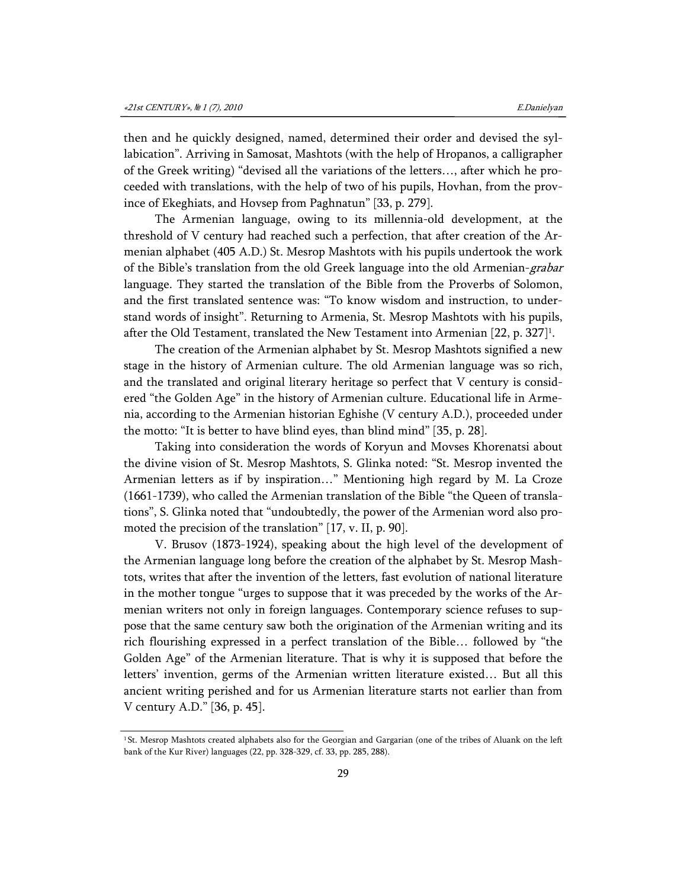then and he quickly designed, named, determined their order and devised the syllabication". Arriving in Samosat, Mashtots (with the help of Hropanos, a calligrapher of the Greek writing) "devised all the variations of the letters…, after which he proceeded with translations, with the help of two of his pupils, Hovhan, from the province of Ekeghiats, and Hovsep from Paghnatun" [33, p. 279].

The Armenian language, owing to its millennia-old development, at the threshold of V century had reached such a perfection, that after creation of the Armenian alphabet (405 A.D.) St. Mesrop Mashtots with his pupils undertook the work of the Bible's translation from the old Greek language into the old Armenian-*grabar* language. They started the translation of the Bible from the Proverbs of Solomon, and the first translated sentence was: "To know wisdom and instruction, to understand words of insight". Returning to Armenia, St. Mesrop Mashtots with his pupils, after the Old Testament, translated the New Testament into Armenian [22, p. 327]<sup>1</sup>.

The creation of the Armenian alphabet by St. Mesrop Mashtots signified a new stage in the history of Armenian culture. The old Armenian language was so rich, and the translated and original literary heritage so perfect that V century is considered "the Golden Age" in the history of Armenian culture. Educational life in Armenia, according to the Armenian historian Eghishe (V century A.D.), proceeded under the motto: "It is better to have blind eyes, than blind mind" [35, p. 28].

Taking into consideration the words of Koryun and Movses Khorenatsi about the divine vision of St. Mesrop Mashtots, S. Glinka noted: "St. Mesrop invented the Armenian letters as if by inspiration…" Mentioning high regard by M. La Croze (1661-1739), who called the Armenian translation of the Bible "the Queen of translations", S. Glinka noted that "undoubtedly, the power of the Armenian word also promoted the precision of the translation" [17, v. II, p. 90].

V. Brusov (1873-1924), speaking about the high level of the development of the Armenian language long before the creation of the alphabet by St. Mesrop Mashtots, writes that after the invention of the letters, fast evolution of national literature in the mother tongue "urges to suppose that it was preceded by the works of the Armenian writers not only in foreign languages. Contemporary science refuses to suppose that the same century saw both the origination of the Armenian writing and its rich flourishing expressed in a perfect translation of the Bible… followed by "the Golden Age" of the Armenian literature. That is why it is supposed that before the letters' invention, germs of the Armenian written literature existed… But all this ancient writing perished and for us Armenian literature starts not earlier than from V century A.D." [36, p. 45].

<sup>&</sup>lt;sup>1</sup> St. Mesrop Mashtots created alphabets also for the Georgian and Gargarian (one of the tribes of Aluank on the left bank of the Kur River) languages (22, pp. 328-329, cf. 33, pp. 285, 288).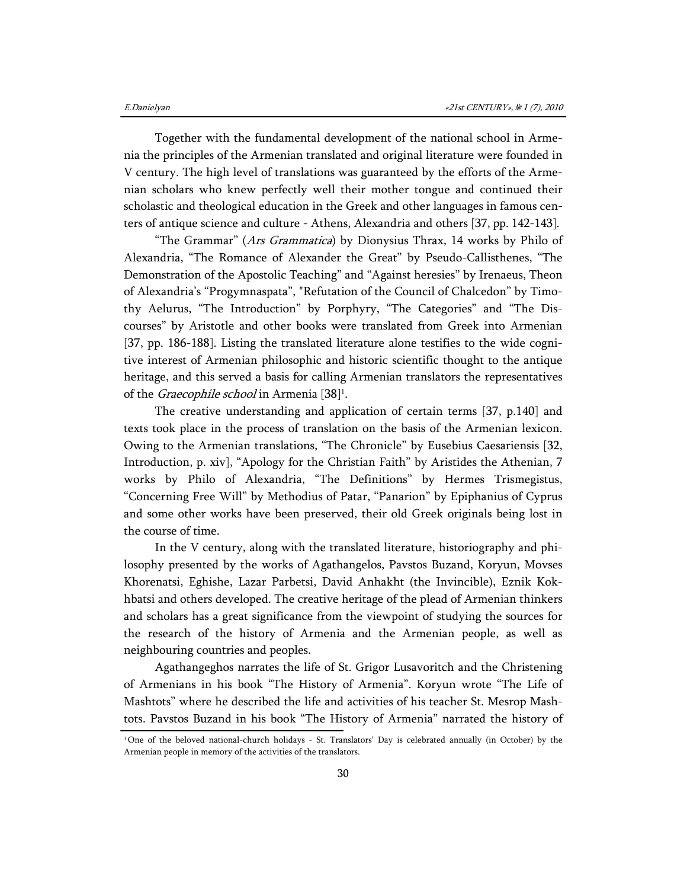Together with the fundamental development of the national school in Armenia the principles of the Armenian translated and original literature were founded in V century. The high level of translations was guaranteed by the efforts of the Armenian scholars who knew perfectly well their mother tongue and continued their scholastic and theological education in the Greek and other languages in famous centers of antique science and culture - Athens, Alexandria and others [37, pp. 142-143].

"The Grammar" (Ars Grammatica) by Dionysius Thrax, 14 works by Philo of Alexandria, "The Romance of Alexander the Great" by Pseudo-Callisthenes, "The Demonstration of the Apostolic Teaching" and "Against heresies" by Irenaeus, Theon of Alexandria's "Progymnaspata", "Refutation of the Council of Chalcedon" by Timothy Aelurus, "The Introduction" by Porphyry, "The Categories" and "The Discourses" by Aristotle and other books were translated from Greek into Armenian [37, pp. 186-188]. Listing the translated literature alone testifies to the wide cognitive interest of Armenian philosophic and historic scientific thought to the antique heritage, and this served a basis for calling Armenian translators the representatives of the *Graecophile school* in Armenia [38]<sup>1</sup>.

The creative understanding and application of certain terms [37, p.140] and texts took place in the process of translation on the basis of the Armenian lexicon. Owing to the Armenian translations, "The Chronicle" by Eusebius Caesariensis [32, Introduction, p. xiv], "Apology for the Christian Faith" by Aristides the Athenian, 7 works by Philo of Alexandria, "The Definitions" by Hermes Trismegistus, "Concerning Free Will" by Methodius of Patar, "Panarion" by Epiphanius of Cyprus and some other works have been preserved, their old Greek originals being lost in the course of time.

In the V century, along with the translated literature, historiography and philosophy presented by the works of Agathangelos, Pavstos Buzand, Koryun, Movses Khorenatsi, Eghishe, Lazar Parbetsi, David Anhakht (the Invincible), Eznik Kokhbatsi and others developed. The creative heritage of the plead of Armenian thinkers and scholars has a great significance from the viewpoint of studying the sources for the research of the history of Armenia and the Armenian people, as well as neighbouring countries and peoples.

Agathangeghos narrates the life of St. Grigor Lusavoritch and the Christening of Armenians in his book "The History of Armenia". Koryun wrote "The Life of Mashtots" where he described the life and activities of his teacher St. Mesrop Mashtots. Pavstos Buzand in his book "The History of Armenia" narrated the history of

<sup>1</sup> One of the beloved national-church holidays - St. Translators' Day is celebrated annually (in October) by the Armenian people in memory of the activities of the translators.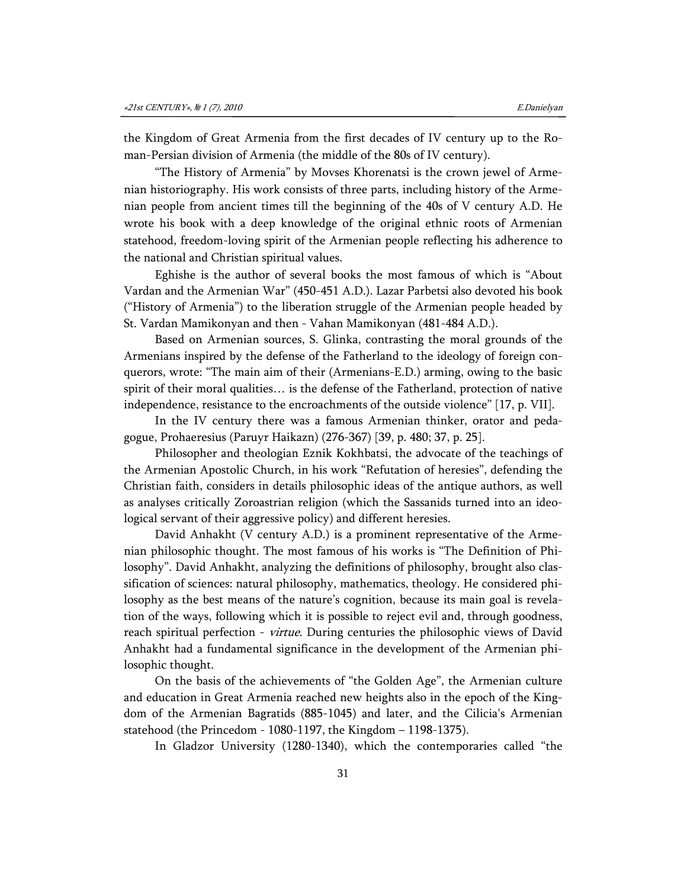the Kingdom of Great Armenia from the first decades of IV century up to the Roman-Persian division of Armenia (the middle of the 80s of IV century).

"The History of Armenia" by Movses Khorenatsi is the crown jewel of Armenian historiography. His work consists of three parts, including history of the Armenian people from ancient times till the beginning of the 40s of V century A.D. He wrote his book with a deep knowledge of the original ethnic roots of Armenian statehood, freedom-loving spirit of the Armenian people reflecting his adherence to the national and Christian spiritual values.

Eghishe is the author of several books the most famous of which is "About Vardan and the Armenian War" (450-451 A.D.). Lazar Parbetsi also devoted his book ("History of Armenia") to the liberation struggle of the Armenian people headed by St. Vardan Mamikonyan and then - Vahan Mamikonyan (481-484 A.D.).

Based on Armenian sources, S. Glinka, contrasting the moral grounds of the Armenians inspired by the defense of the Fatherland to the ideology of foreign conquerors, wrote: "The main aim of their (Armenians-E.D.) arming, owing to the basic spirit of their moral qualities… is the defense of the Fatherland, protection of native independence, resistance to the encroachments of the outside violence" [17, p. VII].

In the IV century there was a famous Armenian thinker, orator and pedagogue, Prohaeresius (Paruyr Haikazn) (276-367) [39, p. 480; 37, p. 25].

Philosopher and theologian Eznik Kokhbatsi, the advocate of the teachings of the Armenian Apostolic Church, in his work "Refutation of heresies", defending the Christian faith, considers in details philosophic ideas of the antique authors, as well as analyses critically Zoroastrian religion (which the Sassanids turned into an ideological servant of their aggressive policy) and different heresies.

David Anhakht (V century A.D.) is a prominent representative of the Armenian philosophic thought. The most famous of his works is "The Definition of Philosophy". David Anhakht, analyzing the definitions of philosophy, brought also classification of sciences: natural philosophy, mathematics, theology. He considered philosophy as the best means of the nature's cognition, because its main goal is revelation of the ways, following which it is possible to reject evil and, through goodness, reach spiritual perfection - *virtue*. During centuries the philosophic views of David Anhakht had a fundamental significance in the development of the Armenian philosophic thought.

On the basis of the achievements of "the Golden Age", the Armenian culture and education in Great Armenia reached new heights also in the epoch of the Kingdom of the Armenian Bagratids (885-1045) and later, and the Cilicia's Armenian statehood (the Princedom - 1080-1197, the Kingdom – 1198-1375).

In Gladzor University (1280-1340), which the contemporaries called "the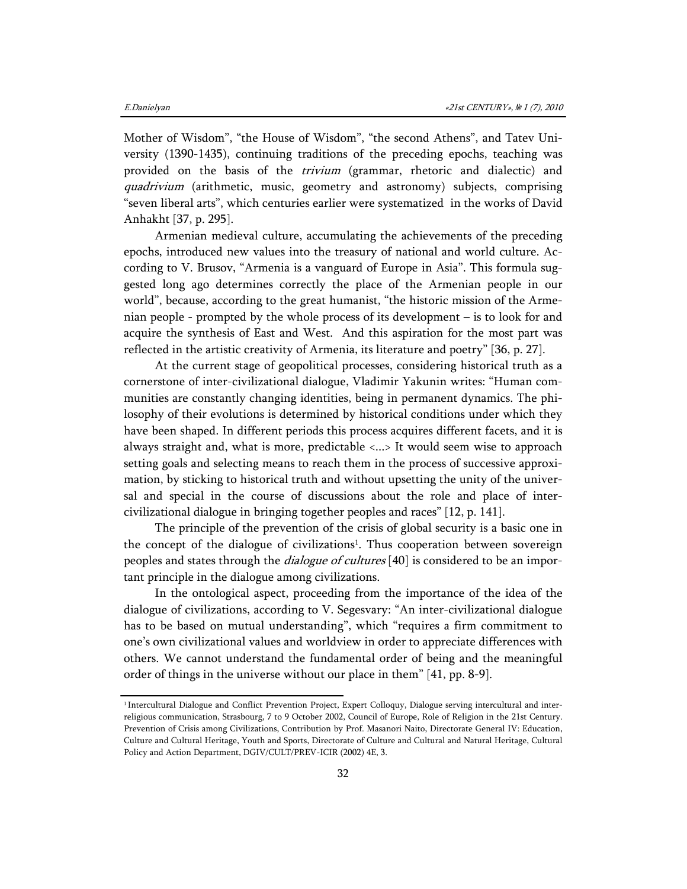Mother of Wisdom", "the House of Wisdom", "the second Athens", and Tatev University (1390-1435), continuing traditions of the preceding epochs, teaching was provided on the basis of the trivium (grammar, rhetoric and dialectic) and quadrivium (arithmetic, music, geometry and astronomy) subjects, comprising "seven liberal arts", which centuries earlier were systematized in the works of David Anhakht [37, p. 295].

Armenian medieval culture, accumulating the achievements of the preceding epochs, introduced new values into the treasury of national and world culture. According to V. Brusov, "Armenia is a vanguard of Europe in Asia". This formula suggested long ago determines correctly the place of the Armenian people in our world", because, according to the great humanist, "the historic mission of the Armenian people - prompted by the whole process of its development – is to look for and acquire the synthesis of East and West. And this aspiration for the most part was reflected in the artistic creativity of Armenia, its literature and poetry" [36, p. 27].

At the current stage of geopolitical processes, considering historical truth as a cornerstone of inter-civilizational dialogue, Vladimir Yakunin writes: "Human communities are constantly changing identities, being in permanent dynamics. The philosophy of their evolutions is determined by historical conditions under which they have been shaped. In different periods this process acquires different facets, and it is always straight and, what is more, predictable <...> It would seem wise to approach setting goals and selecting means to reach them in the process of successive approximation, by sticking to historical truth and without upsetting the unity of the universal and special in the course of discussions about the role and place of intercivilizational dialogue in bringing together peoples and races" [12, р. 141].

The principle of the prevention of the crisis of global security is a basic one in the concept of the dialogue of civilizations<sup>1</sup>. Thus cooperation between sovereign peoples and states through the *dialogue of cultures* [40] is considered to be an important principle in the dialogue among civilizations.

In the ontological aspect, proceeding from the importance of the idea of the dialogue of civilizations, according to V. Segesvary: "An inter-civilizational dialogue has to be based on mutual understanding", which "requires a firm commitment to one's own civilizational values and worldview in order to appreciate differences with others. We cannot understand the fundamental order of being and the meaningful order of things in the universe without our place in them" [41, рр. 8-9].

<sup>&</sup>lt;sup>1</sup> Intercultural Dialogue and Conflict Prevention Project, Expert Colloquy, Dialogue serving intercultural and interreligious communication, Strasbourg, 7 to 9 October 2002, Council of Europe, Role of Religion in the 21st Century. Prevention of Crisis among Civilizations, Contribution by Prof. Masanori Naito, Directorate General IV: Education, Culture and Cultural Heritage, Youth and Sports, Directorate of Culture and Cultural and Natural Heritage, Cultural Policy and Action Department, DGIV/CULT/PREV-ICIR (2002) 4E, 3.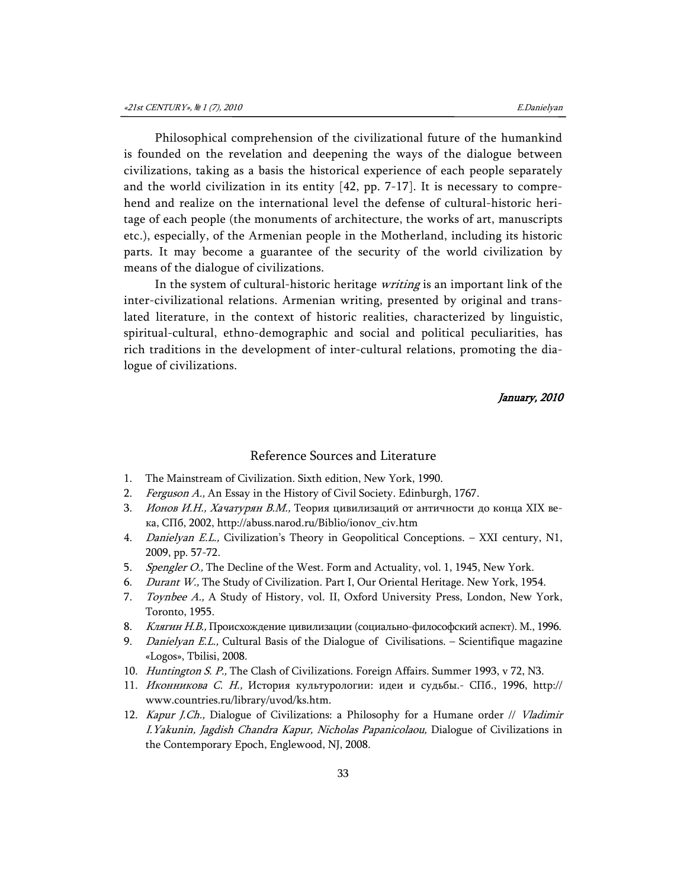Philosophical comprehension of the civilizational future of the humankind is founded on the revelation and deepening the ways of the dialogue between civilizations, taking as a basis the historical experience of each people separately and the world civilization in its entity [42, рр. 7-17]. It is necessary to comprehend and realize on the international level the defense of cultural-historic heritage of each people (the monuments of architecture, the works of art, manuscripts etc.), especially, of the Armenian people in the Motherland, including its historic parts. It may become a guarantee of the security of the world civilization by means of the dialogue of civilizations.

In the system of cultural-historic heritage writing is an important link of the inter-civilizational relations. Armenian writing, presented by original and translated literature, in the context of historic realities, characterized by linguistic, spiritual-cultural, ethno-demographic and social and political peculiarities, has rich traditions in the development of inter-cultural relations, promoting the dialogue of civilizations.

## January, 2010

## Reference Sources and Literature

- 1. The Mainstream of Civilization. Sixth edition, New York, 1990.
- 2. Ferguson A., An Essay in the History of Civil Society. Edinburgh, 1767.
- 3. Ионов И.Н., Хачатурян В.М., Теория цивилизаций от античности до конца XIX века, СПб, 2002, http://abuss.narod.ru/Biblio/ionov\_civ.htm
- 4. Danielyan E.L., Civilization's Theory in Geopolitical Conceptions. XXI century, N1, 2009, рр. 57-72.
- 5. Spengler O., The Decline of the West. Form and Actuality, vol. 1, 1945, New York.
- 6. Durant W., The Study of Civilization. Part I, Our Oriental Heritage. New York, 1954.
- 7. Toynbee A., A Study of History, vol. II, Oxford University Press, London, New York, Toronto, 1955.
- 8. Клягин <sup>Н</sup>.В., Происхождение цивилизации (социально-философский аспект). М., 1996.
- 9. Danielyan E.L., Cultural Basis of the Dialogue of Civilisations. Scientifique magazine «Logos», Tbilisi, 2008.
- 10. Huntington S. P., The Clash of Civilizations. Foreign Affairs. Summer 1993, v 72, N3.
- 11. Иконникова С. Н., История культурологии: идеи и судьбы.- СПб., 1996, http:// www.countries.ru/library/uvod/ks.htm.
- 12. Kapur J.Ch., Dialogue of Civilizations: a Philosophy for a Humane order // Vladimir I.Yakunin, Jagdish Chandra Kapur, Nicholas Papanicolaou, Dialogue of Civilizations in the Contemporary Epoch, Englewood, NJ, 2008.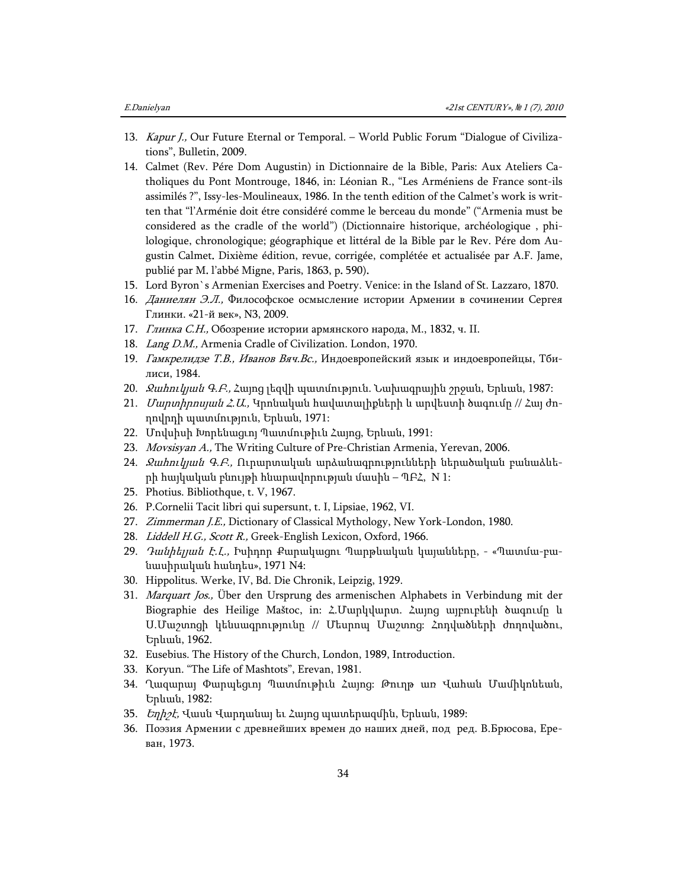- 13. Kapur J., Our Future Eternal or Temporal. World Public Forum "Dialogue of Civilizations", Bulletin, 2009.
- 14. Calmet (Rev. Pére Dom Augustin) in Dictionnaire de la Bible, Paris: Aux Ateliers Catholiques du Pont Montrouge, 1846, in: Léonian R., "Les Arméniens de France sont-ils assimilés ?", Issy-les-Moulineaux, 1986. In the tenth edition of the Calmet's work is written that "l'Arménie doit étre considéré comme le berceau du monde" ("Armenia must be considered as the cradle of the world") (Dictionnaire historique, archéologique , philologique, chronologique; géographique et littéral de la Bible par le Rev. Pére dom Augustin Calmet. Dixième édition, revue, corrigée, complétée et actualisée par A.F. Jame, publié par M. l'abbé Migne, Paris, 1863, p. 590).
- 15. Lord Byron`s Armenian Exercises and Poetry. Venice: in the Island of St. Lazzaro, 1870.
- 16. Даниелян Э.Л., Философское осмысление истории Армении в сочинении Сергея Глинки. «21-й век», N3, 2009.
- 17. Глинка С.Н., Обозрение истории армянского народа, М., 1832, ч. II.
- 18. Lang D.M., Armenia Cradle of Civilization. London, 1970.
- 19. Гамкрелидзе <sup>Т</sup>.В., Иванов Вяч.Вс., Индоевропейский язык и индоевропейцы, Тбилиси, 1984.
- 20. *Ջահուկյան Գ.Բ.,* Հայոց լեզվի պատմություն. Նախագրային շրջան, Երևան, 1987։
- 21. *Մարտիրոսյան Հ.Ա.,* Կրոնական հավատալիքների և արվեստի ծագումը // Հայ ժողովրդի պատմություն, Երևան, 1971:
- 22. Մովսիսի Խորենացւոյ Պատմութիւն Հայոց, Երևան, 1991:
- 23. Movsisyan A., The Writing Culture of Pre-Christian Armenia, Yerevan, 2006.
- 24. *Ջահուկյան Գ.Բ.,* Ուրարտական արձանագրությունների ներածական բանաձևերի հայկական բնույթի հնարավորության մասին – ՊԲՀ, N 1:
- 25. Photius. Bibliothque, t. V, 1967.
- 26. P.Cornelii Tacit libri qui supersunt, t. I, Lipsiae, 1962, VI.
- 27. *Zimmerman J.E.*, Dictionary of Classical Mythology, New York-London, 1980.
- 28. Liddell H.G., Scott R., Greek-English Lexicon, Oxford, 1966.
- 29. *Դանիելյան Է.Լ.,* Իսիդոր Քարակացու Պարթևական կայանները, «Պատմա-բանասիրական հանդես», 1971 N4:
- 30. Hippolitus. Werke, IV, Bd. Die Chronik, Leipzig, 1929.
- 31. Marquart Jos., Über den Ursprung des armenischen Alphabets in Verbindung mit der Biographie des Heilige Maštoc, in: Հ.Մարկվարտ. Հայոց այբուբենի ծագումը և Ս.Մաշտոցի կենսագրությունը // Մեսրոպ Մաշտոց: Հոդվածների ժողովածու, Երևան, 1962.
- 32. Eusebius. The History of the Church, London, 1989, Introduction.
- 33. Koryun. "The Life of Mashtots", Erevan, 1981.
- 34. Ղազարայ Փարպեցւոյ Պատմութիւն Հայոց: Թուղթ առ Վահան Մամիկոնեան, Երևան, 1982:
- 35. Եղիշէ, Վասն Վարդանայ եւ Հայոց պատերազմին, Երևան, 1989:
- 36. Поэзия Армении с древнейших времен до наших дней, под ред. В.Брюсова, Ереван, 1973.